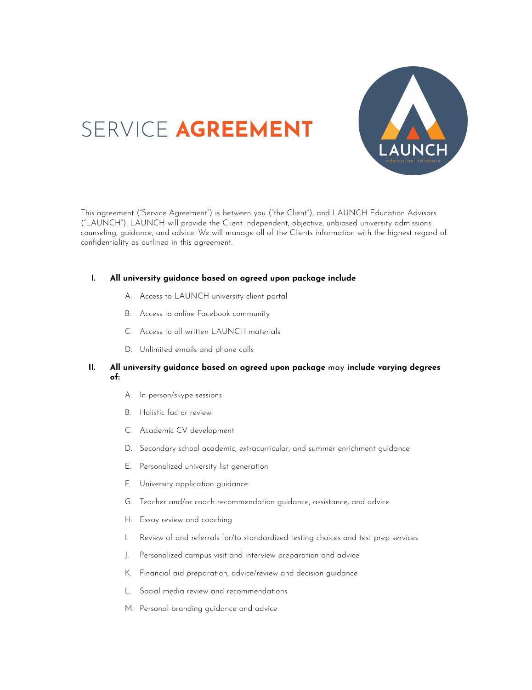

# SERVICE **AGREEMENT**

This agreement ("Service Agreement") is between you ("the Client"), and LAUNCH Education Advisors ("LAUNCH"). LAUNCH will provide the Client independent, objective, unbiased university admissions counseling, guidance, and advice. We will manage all of the Clients information with the highest regard of confidentiality as outlined in this agreement.

# **I. All university guidance based on agreed upon package include**

- A. Access to LAUNCH university client portal
- B. Access to online Facebook community
- C. Access to all written LAUNCH materials
- D. Unlimited emails and phone calls

# **II. All university guidance based on agreed upon package** may **include varying degrees of:**

- A. In person/skype sessions
- B. Holistic factor review
- C. Academic CV development
- D. Secondary school academic, extracurricular, and summer enrichment guidance
- E. Personalized university list generation
- F. University application guidance
- G. Teacher and/or coach recommendation guidance, assistance, and advice
- H. Essay review and coaching
- I. Review of and referrals for/to standardized testing choices and test prep services
- J. Personalized campus visit and interview preparation and advice
- K. Financial aid preparation, advice/review and decision guidance
- L. Social media review and recommendations
- M. Personal branding guidance and advice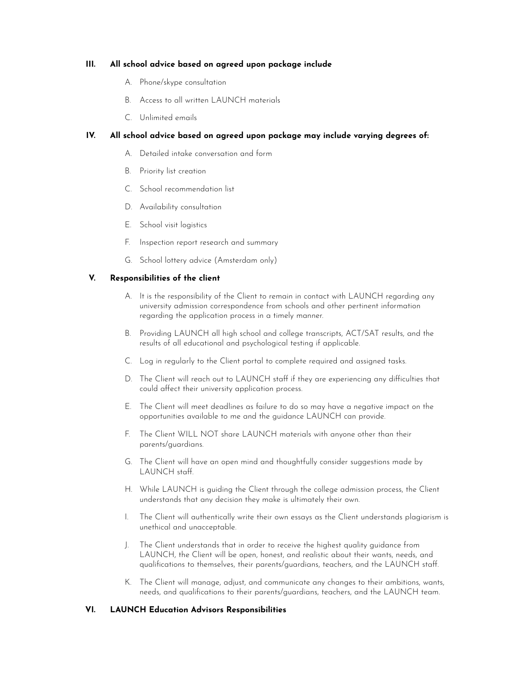## **III. All school advice based on agreed upon package include**

- A. Phone/skype consultation
- B. Access to all written LAUNCH materials
- C. Unlimited emails

# **IV. All school advice based on agreed upon package may include varying degrees of:**

- A. Detailed intake conversation and form
- B. Priority list creation
- C. School recommendation list
- D. Availability consultation
- E. School visit logistics
- F. Inspection report research and summary
- G. School lottery advice (Amsterdam only)

## **V. Responsibilities of the client**

- A. It is the responsibility of the Client to remain in contact with LAUNCH regarding any university admission correspondence from schools and other pertinent information regarding the application process in a timely manner.
- B. Providing LAUNCH all high school and college transcripts, ACT/SAT results, and the results of all educational and psychological testing if applicable.
- C. Log in regularly to the Client portal to complete required and assigned tasks.
- D. The Client will reach out to LAUNCH staff if they are experiencing any difficulties that could affect their university application process.
- E. The Client will meet deadlines as failure to do so may have a negative impact on the opportunities available to me and the guidance LAUNCH can provide.
- F. The Client WILL NOT share LAUNCH materials with anyone other than their parents/guardians.
- G. The Client will have an open mind and thoughtfully consider suggestions made by LAUNCH staff.
- H. While LAUNCH is guiding the Client through the college admission process, the Client understands that any decision they make is ultimately their own.
- I. The Client will authentically write their own essays as the Client understands plagiarism is unethical and unacceptable.
- J. The Client understands that in order to receive the highest quality guidance from LAUNCH, the Client will be open, honest, and realistic about their wants, needs, and qualifications to themselves, their parents/guardians, teachers, and the LAUNCH staff.
- K. The Client will manage, adjust, and communicate any changes to their ambitions, wants, needs, and qualifications to their parents/guardians, teachers, and the LAUNCH team.

#### **VI. LAUNCH Education Advisors Responsibilities**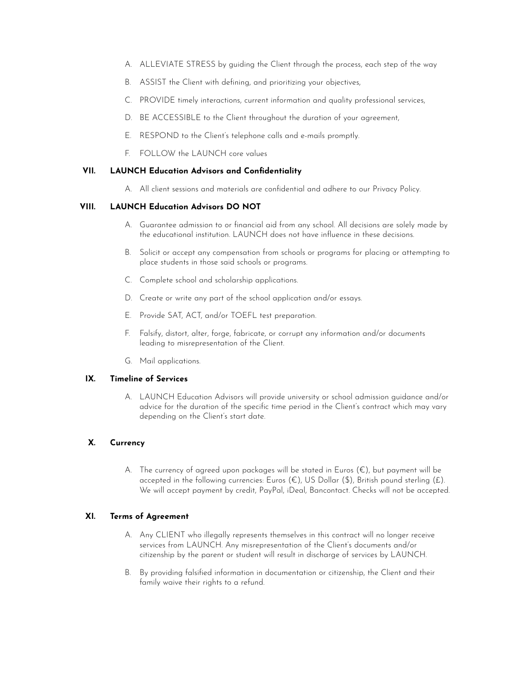- A. ALLEVIATE STRESS by guiding the Client through the process, each step of the way
- B. ASSIST the Client with defining, and prioritizing your objectives,
- C. PROVIDE timely interactions, current information and quality professional services,
- D. BE ACCESSIBLE to the Client throughout the duration of your agreement,
- E. RESPOND to the Client's telephone calls and e-mails promptly.
- F. FOLLOW the LAUNCH core values

## **VII. LAUNCH Education Advisors and Confidentiality**

A. All client sessions and materials are confidential and adhere to our Privacy Policy.

## **VIII. LAUNCH Education Advisors DO NOT**

- A. Guarantee admission to or financial aid from any school. All decisions are solely made by the educational institution. LAUNCH does not have influence in these decisions.
- B. Solicit or accept any compensation from schools or programs for placing or attempting to place students in those said schools or programs.
- C. Complete school and scholarship applications.
- D. Create or write any part of the school application and/or essays.
- E. Provide SAT, ACT, and/or TOEFL test preparation.
- F. Falsify, distort, alter, forge, fabricate, or corrupt any information and/or documents leading to misrepresentation of the Client.
- G. Mail applications.

# **IX. Timeline of Services**

A. LAUNCH Education Advisors will provide university or school admission guidance and/or advice for the duration of the specific time period in the Client's contract which may vary depending on the Client's start date.

# **X. Currency**

A. The currency of agreed upon packages will be stated in Euros  $(\epsilon)$ , but payment will be accepted in the following currencies: Euros ( $\epsilon$ ), US Dollar (\$), British pound sterling (£). We will accept payment by credit, PayPal, iDeal, Bancontact. Checks will not be accepted.

#### **XI. Terms of Agreement**

- A. Any CLIENT who illegally represents themselves in this contract will no longer receive services from LAUNCH. Any misrepresentation of the Client's documents and/or citizenship by the parent or student will result in discharge of services by LAUNCH.
- B. By providing falsified information in documentation or citizenship, the Client and their family waive their rights to a refund.